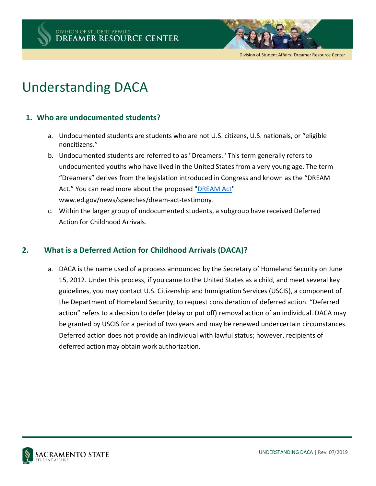



Division of Student Affairs: Dreamer Resource Center

# Understanding DACA

### **1. Who are undocumented students?**

- a. Undocumented students are students who are not U.S. citizens, U.S. nationals, or "eligible noncitizens."
- b. Undocumented students are referred to as "Dreamers." This term generally refers to undocumented youths who have lived in the United States from a very young age. The term "Dreamers" derives from the legislation introduced in Congress and known as the "DREAM Act." You can read more about the proposed ["DREAM Act"](http://www.ed.gov/news/speeches/dream) www.ed.gov/news/speeches/dream‐act‐testimony.
- c. Within the larger group of undocumented students, a subgroup have received Deferred Action for Childhood Arrivals.

## **2. What is a Deferred Action for Childhood Arrivals (DACA)?**

a. DACA is the name used of a process announced by the Secretary of Homeland Security on June 15, 2012. Under this process, if you came to the United States as a child, and meet several key guidelines, you may contact U.S. Citizenship and Immigration Services (USCIS), a component of the Department of Homeland Security, to request consideration of deferred action. "Deferred action" refers to a decision to defer (delay or put off) removal action of an individual. DACA may be granted by USCIS for a period of two years and may be renewed undercertain circumstances. Deferred action does not provide an individual with lawful status; however, recipients of deferred action may obtain work authorization.